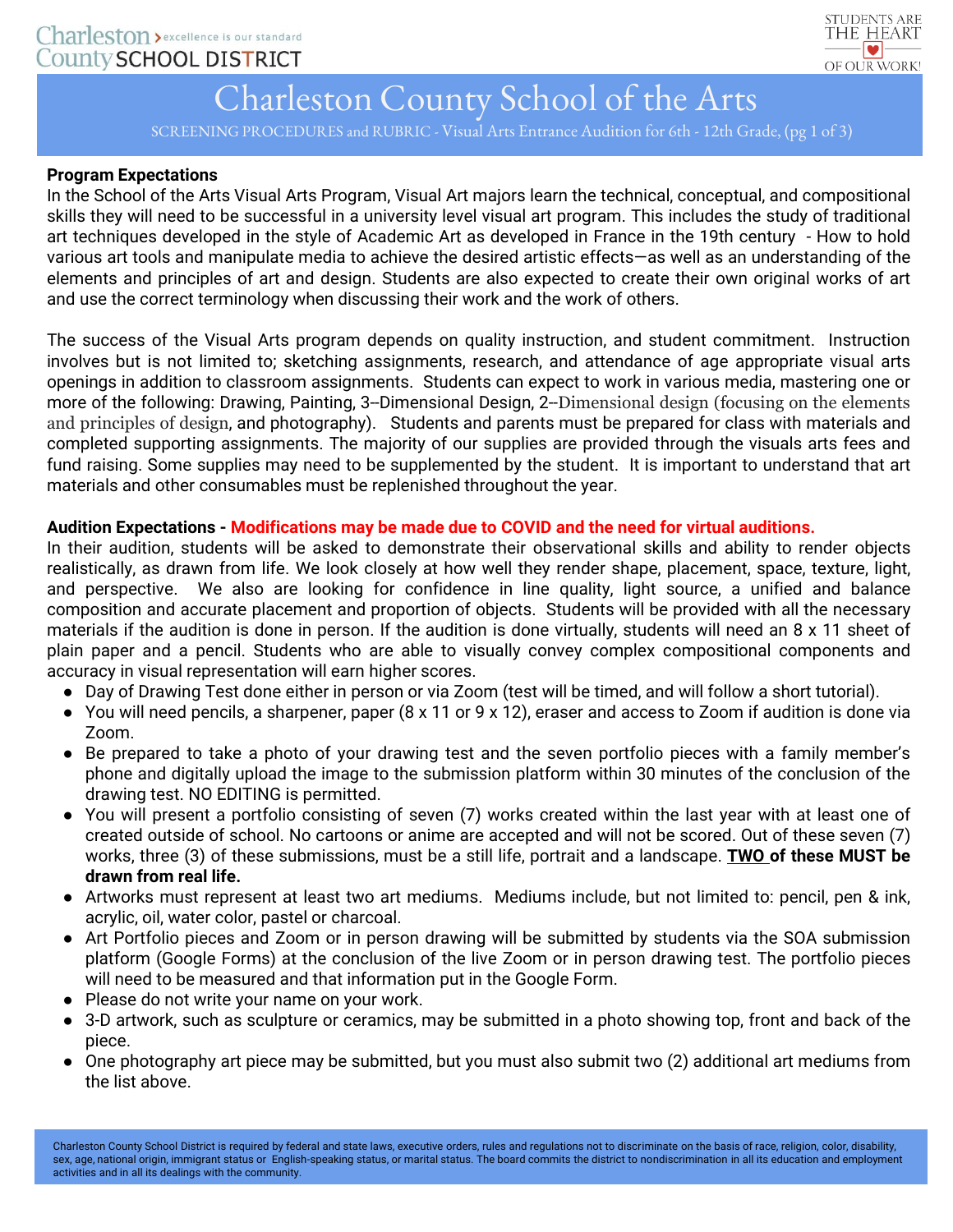

## Charleston County School of the Arts

SCREENING PROCEDURES and RUBRIC - Visual Arts Entrance Audition for 6th - 12th Grade, (pg 1 of 3)

#### **Program Expectations**

In the School of the Arts Visual Arts Program, Visual Art majors learn the technical, conceptual, and compositional skills they will need to be successful in a university level visual art program. This includes the study of traditional art techniques developed in the style of Academic Art as developed in France in the 19th century - How to hold various art tools and manipulate media to achieve the desired artistic effects—as well as an understanding of the elements and principles of art and design. Students are also expected to create their own original works of art and use the correct terminology when discussing their work and the work of others.

The success of the Visual Arts program depends on quality instruction, and student commitment. Instruction involves but is not limited to; sketching assignments, research, and attendance of age appropriate visual arts openings in addition to classroom assignments. Students can expect to work in various media, mastering one or more of the following: Drawing, Painting, 3–Dimensional Design, 2–Dimensional design (focusing on the elements and principles of design, and photography). Students and parents must be prepared for class with materials and completed supporting assignments. The majority of our supplies are provided through the visuals arts fees and fund raising. Some supplies may need to be supplemented by the student. It is important to understand that art materials and other consumables must be replenished throughout the year.

#### **Audition Expectations - Modifications may be made due to COVID and the need for virtual auditions.**

In their audition, students will be asked to demonstrate their observational skills and ability to render objects realistically, as drawn from life. We look closely at how well they render shape, placement, space, texture, light, and perspective. We also are looking for confidence in line quality, light source, a unified and balance composition and accurate placement and proportion of objects. Students will be provided with all the necessary materials if the audition is done in person. If the audition is done virtually, students will need an 8 x 11 sheet of plain paper and a pencil. Students who are able to visually convey complex compositional components and accuracy in visual representation will earn higher scores.

- Day of Drawing Test done either in person or via Zoom (test will be timed, and will follow a short tutorial).
- You will need pencils, a sharpener, paper (8 x 11 or 9 x 12), eraser and access to Zoom if audition is done via Zoom.
- Be prepared to take a photo of your drawing test and the seven portfolio pieces with a family member's phone and digitally upload the image to the submission platform within 30 minutes of the conclusion of the drawing test. NO EDITING is permitted.
- You will present a portfolio consisting of seven (7) works created within the last year with at least one of created outside of school. No cartoons or anime are accepted and will not be scored. Out of these seven (7) works, three (3) of these submissions, must be a still life, portrait and a landscape. **TWO of these MUST be drawn from real life.**
- Artworks must represent at least two art mediums. Mediums include, but not limited to: pencil, pen & ink, acrylic, oil, water color, pastel or charcoal.
- Art Portfolio pieces and Zoom or in person drawing will be submitted by students via the SOA submission platform (Google Forms) at the conclusion of the live Zoom or in person drawing test. The portfolio pieces will need to be measured and that information put in the Google Form.
- Please do not write your name on your work.
- 3-D artwork, such as sculpture or ceramics, may be submitted in a photo showing top, front and back of the piece.
- One photography art piece may be submitted, but you must also submit two (2) additional art mediums from the list above.

Charleston County School District is required by federal and state laws, executive orders, rules and regulations not to discriminate on the basis of race, religion, color, disability, sex, age, national origin, immigrant status or English-speaking status, or marital status. The board commits the district to nondiscrimination in all its education and employment activities and in all its dealings with the community.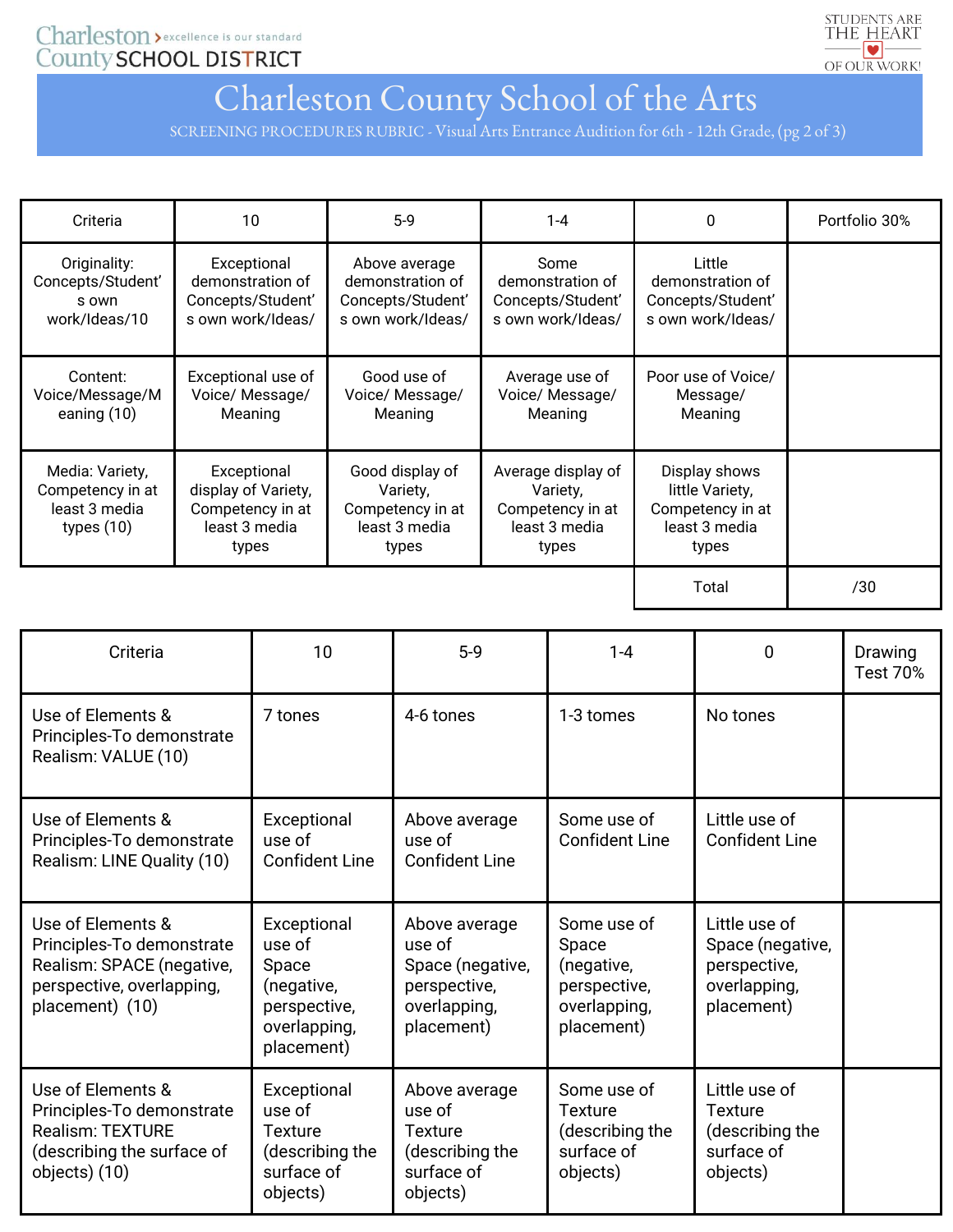Charleston > excellence is our standard County SCHOOL DISTRICT



### Charleston County School of the Arts

SCREENING PROCEDURES RUBRIC - Visual Arts Entrance Audition for 6th - 12th Grade, (pg 2 of 3)

| Criteria                                                             | 10                                                                               | $5-9$                                                                       | $1 - 4$                                                                      | 0                                                                              | Portfolio 30% |
|----------------------------------------------------------------------|----------------------------------------------------------------------------------|-----------------------------------------------------------------------------|------------------------------------------------------------------------------|--------------------------------------------------------------------------------|---------------|
| Originality:<br>Concepts/Student'<br>s own<br>work/Ideas/10          | Exceptional<br>demonstration of<br>Concepts/Student'<br>s own work/Ideas/        | Above average<br>demonstration of<br>Concepts/Student'<br>s own work/Ideas/ | Some<br>demonstration of<br>Concepts/Student'<br>s own work/Ideas/           | Little<br>demonstration of<br>Concepts/Student'<br>s own work/Ideas/           |               |
| Content:<br>Voice/Message/M<br>eaning $(10)$                         | Exceptional use of<br>Voice/ Message/<br>Meaning                                 | Good use of<br>Voice/ Message/<br>Meaning                                   | Average use of<br>Voice/ Message/<br>Meaning                                 | Poor use of Voice/<br>Message/<br>Meaning                                      |               |
| Media: Variety,<br>Competency in at<br>least 3 media<br>types $(10)$ | Exceptional<br>display of Variety,<br>Competency in at<br>least 3 media<br>types | Good display of<br>Variety,<br>Competency in at<br>least 3 media<br>types   | Average display of<br>Variety,<br>Competency in at<br>least 3 media<br>types | Display shows<br>little Variety,<br>Competency in at<br>least 3 media<br>types |               |
|                                                                      |                                                                                  |                                                                             |                                                                              | Total                                                                          | /30           |

| Criteria                                                                                                                    | 10                                                                                         | $5-9$                                                                                     | $1 - 4$                                                                          | $\mathbf 0$                                                                     | Drawing<br><b>Test 70%</b> |
|-----------------------------------------------------------------------------------------------------------------------------|--------------------------------------------------------------------------------------------|-------------------------------------------------------------------------------------------|----------------------------------------------------------------------------------|---------------------------------------------------------------------------------|----------------------------|
| Use of Elements &<br>Principles-To demonstrate<br>Realism: VALUE (10)                                                       | 7 tones                                                                                    | 4-6 tones                                                                                 | 1-3 tomes                                                                        | No tones                                                                        |                            |
| Use of Elements &<br>Principles-To demonstrate<br>Realism: LINE Quality (10)                                                | Exceptional<br>use of<br><b>Confident Line</b>                                             | Above average<br>use of<br><b>Confident Line</b>                                          | Some use of<br><b>Confident Line</b>                                             | Little use of<br><b>Confident Line</b>                                          |                            |
| Use of Elements &<br>Principles-To demonstrate<br>Realism: SPACE (negative,<br>perspective, overlapping,<br>placement) (10) | Exceptional<br>use of<br>Space<br>(negative,<br>perspective,<br>overlapping,<br>placement) | Above average<br>use of<br>Space (negative,<br>perspective,<br>overlapping,<br>placement) | Some use of<br>Space<br>(negative,<br>perspective,<br>overlapping,<br>placement) | Little use of<br>Space (negative,<br>perspective,<br>overlapping,<br>placement) |                            |
| Use of Elements &<br>Principles-To demonstrate<br><b>Realism: TEXTURE</b><br>(describing the surface of<br>objects) (10)    | Exceptional<br>use of<br>Texture<br>(describing the<br>surface of<br>objects)              | Above average<br>use of<br><b>Texture</b><br>(describing the<br>surface of<br>objects)    | Some use of<br><b>Texture</b><br>(describing the<br>surface of<br>objects)       | Little use of<br><b>Texture</b><br>(describing the<br>surface of<br>objects)    |                            |